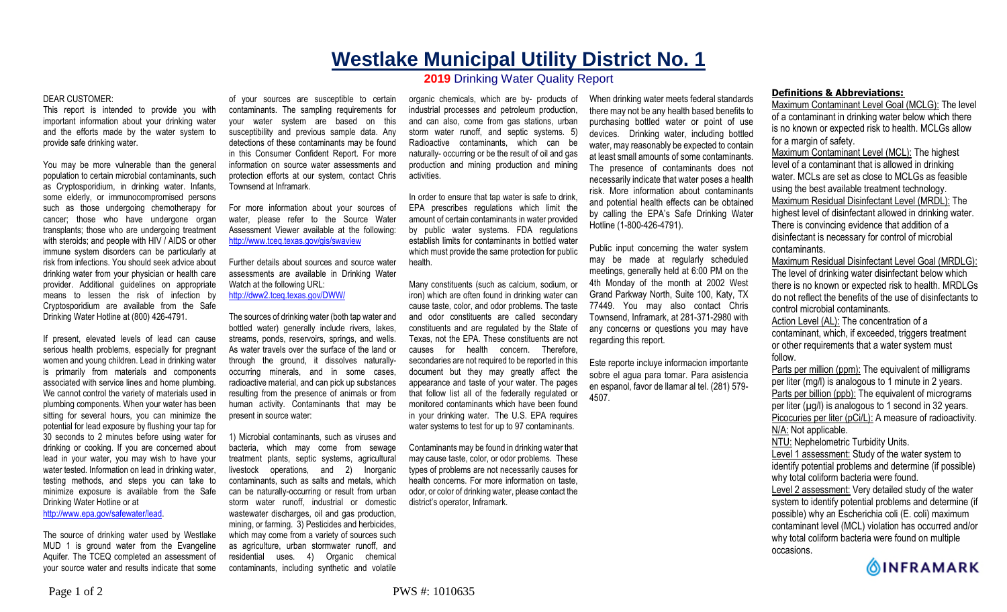## **Westlake Municipal Utility District No. 1**

## **2019** Drinking Water Quality Report

## DEAR CUSTOMER:

This report is intended to provide you with important information about your drinking water and the efforts made by the water system to provide safe drinking water.

You may be more vulnerable than the general population to certain microbial contaminants, such as Cryptosporidium, in drinking water. Infants, some elderly, or immunocompromised persons such as those undergoing chemotherapy for cancer; those who have undergone organ transplants; those who are undergoing treatment with steroids; and people with HIV / AIDS or other immune system disorders can be particularly at risk from infections. You should seek advice about drinking water from your physician or health care provider. Additional guidelines on appropriate means to lessen the risk of infection by Cryptosporidium are available from the Safe Drinking Water Hotline at (800) 426-4791.

If present, elevated levels of lead can cause serious health problems, especially for pregnant women and young children. Lead in drinking water is primarily from materials and components associated with service lines and home plumbing. We cannot control the variety of materials used in plumbing components. When your water has been sitting for several hours, you can minimize the potential for lead exposure by flushing your tap for 30 seconds to 2 minutes before using water for drinking or cooking. If you are concerned about lead in your water, you may wish to have your water tested. Information on lead in drinking water, testing methods, and steps you can take to minimize exposure is available from the Safe Drinking Water Hotline or at http://www.epa.gov/safewater/lead.

The source of drinking water used by Westlake MUD 1 is ground water from the Evangeline Aquifer. The TCEQ completed an assessment of your source water and results indicate that some

of your sources are susceptible to certain contaminants. The sampling requirements for your water system are based on this susceptibility and previous sample data. Any detections of these contaminants may be found in this Consumer Confident Report. For more information on source water assessments and protection efforts at our system, contact Chris Townsend at Inframark.

For more information about your sources of water, please refer to the Source Water Assessment Viewer available at the following: http://www.tceq.texas.gov/gis/swaview

Further details about sources and source water assessments are available in Drinking Water Watch at the following URL:

http://dww2.tceq.texas.gov/DWW/

The sources of drinking water (both tap water and bottled water) generally include rivers, lakes, streams, ponds, reservoirs, springs, and wells. As water travels over the surface of the land or through the ground, it dissolves naturallyoccurring minerals, and in some cases, radioactive material, and can pick up substances resulting from the presence of animals or from human activity. Contaminants that may be present in source water:

1) Microbial contaminants, such as viruses and bacteria, which may come from sewage treatment plants, septic systems, agricultural livestock operations, and 2) Inorganic contaminants, such as salts and metals, which can be naturally-occurring or result from urban storm water runoff, industrial or domestic wastewater discharges, oil and gas production, mining, or farming. 3) Pesticides and herbicides, which may come from a variety of sources such as agriculture, urban stormwater runoff, and residential uses. 4) Organic chemical contaminants, including synthetic and volatile

organic chemicals, which are by- products of industrial processes and petroleum production, and can also, come from gas stations, urban storm water runoff, and septic systems. 5) Radioactive contaminants, which can be naturally- occurring or be the result of oil and gas production and mining production and mining activities.

In order to ensure that tap water is safe to drink, EPA prescribes regulations which limit the amount of certain contaminants in water provided by public water systems. FDA regulations establish limits for contaminants in bottled water which must provide the same protection for public health.

Many constituents (such as calcium, sodium, or iron) which are often found in drinking water can cause taste, color, and odor problems. The taste and odor constituents are called secondary constituents and are regulated by the State of Texas, not the EPA. These constituents are not causes for health concern. Therefore, secondaries are not required to be reported in this document but they may greatly affect the appearance and taste of your water. The pages that follow list all of the federally regulated or monitored contaminants which have been found in your drinking water. The U.S. EPA requires water systems to test for up to 97 contaminants.

Contaminants may be found in drinking water that may cause taste, color, or odor problems. These types of problems are not necessarily causes for health concerns. For more information on taste, odor, or color of drinking water, please contact the district's operator, Inframark.

When drinking water meets federal standards there may not be any health based benefits to purchasing bottled water or point of use devices. Drinking water, including bottled water, may reasonably be expected to contain at least small amounts of some contaminants. The presence of contaminants does not necessarily indicate that water poses a health risk. More information about contaminants and potential health effects can be obtained by calling the EPA's Safe Drinking Water Hotline (1-800-426-4791).

Public input concerning the water system may be made at regularly scheduled meetings, generally held at 6:00 PM on the 4th Monday of the month at 2002 West Grand Parkway North, Suite 100, Katy, TX 77449. You may also contact Chris Townsend, Inframark, at 281-371-2980 with any concerns or questions you may have regarding this report.

Este reporte incluye informacion importante sobre el agua para tomar. Para asistencia en espanol, favor de llamar al tel. (281) 579- 4507.

## **Definitions & Abbreviations:**

Maximum Contaminant Level Goal (MCLG): The level of a contaminant in drinking water below which there is no known or expected risk to health. MCLGs allow for a margin of safety.

Maximum Contaminant Level (MCL): The highest level of a contaminant that is allowed in drinking water. MCLs are set as close to MCLGs as feasible using the best available treatment technology. Maximum Residual Disinfectant Level (MRDL): The highest level of disinfectant allowed in drinking water. There is convincing evidence that addition of a disinfectant is necessary for control of microbial contaminants.

Maximum Residual Disinfectant Level Goal (MRDLG): The level of drinking water disinfectant below which there is no known or expected risk to health. MRDLGs do not reflect the benefits of the use of disinfectants to control microbial contaminants.

Action Level (AL): The concentration of a contaminant, which, if exceeded, triggers treatment or other requirements that a water system must follow.

Parts per million (ppm): The equivalent of milligrams per liter (mg/l) is analogous to 1 minute in 2 years. Parts per billion (ppb): The equivalent of micrograms per liter  $(\mu g/l)$  is analogous to 1 second in 32 years. Picocuries per liter (pCi/L): A measure of radioactivity. N/A: Not applicable. NTU: Nephelometric Turbidity Units.

Level 1 assessment: Study of the water system to identify potential problems and determine (if possible) why total coliform bacteria were found.

Level 2 assessment: Very detailed study of the water system to identify potential problems and determine (if possible) why an Escherichia coli (E. coli) maximum contaminant level (MCL) violation has occurred and/or why total coliform bacteria were found on multiple occasions.